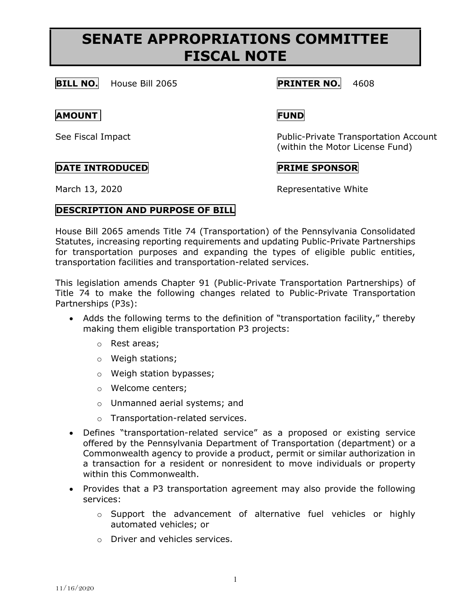# **SENATE APPROPRIATIONS COMMITTEE FISCAL NOTE**

**BILL NO.** House Bill 2065 **PRINTER NO.** 4608

### **AMOUNT FUND**

## **DATE INTRODUCED PRIME SPONSOR**

See Fiscal Impact **Public-Private Transportation Account** (within the Motor License Fund)

March 13, 2020 **Representative White** 

## **DESCRIPTION AND PURPOSE OF BILL**

House Bill 2065 amends Title 74 (Transportation) of the Pennsylvania Consolidated Statutes, increasing reporting requirements and updating Public-Private Partnerships for transportation purposes and expanding the types of eligible public entities, transportation facilities and transportation-related services.

This legislation amends Chapter 91 (Public-Private Transportation Partnerships) of Title 74 to make the following changes related to Public-Private Transportation Partnerships (P3s):

- Adds the following terms to the definition of "transportation facility," thereby making them eligible transportation P3 projects:
	- o Rest areas;
	- o Weigh stations;
	- o Weigh station bypasses;
	- o Welcome centers;
	- o Unmanned aerial systems; and
	- o Transportation-related services.
- Defines "transportation-related service" as a proposed or existing service offered by the Pennsylvania Department of Transportation (department) or a Commonwealth agency to provide a product, permit or similar authorization in a transaction for a resident or nonresident to move individuals or property within this Commonwealth.
- Provides that a P3 transportation agreement may also provide the following services:
	- o Support the advancement of alternative fuel vehicles or highly automated vehicles; or
	- o Driver and vehicles services.